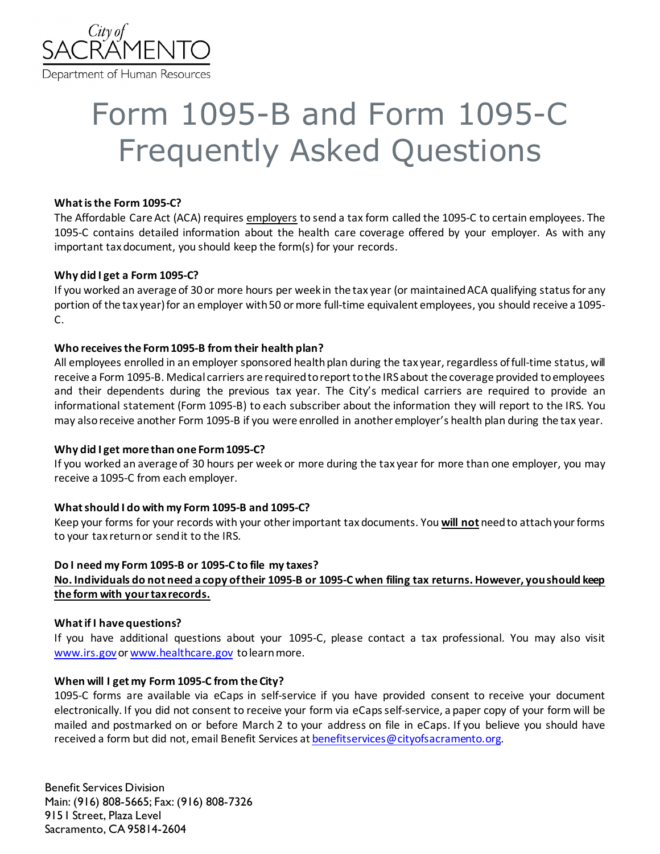

# Form 1095-B and Form 1095-C Frequently Asked Questions

#### **What is the Form 1095-C?**

The Affordable Care Act (ACA) requires employers to send a tax form called the 1095-C to certain employees. The 1095-C contains detailed information about the health care coverage offered by your employer. As with any important tax document, you should keep the form(s) for your records.

# **Why did I get a Form 1095-C?**

If you worked an average of 30 or more hours per week in the tax year (or maintainedACA qualifying status for any portion of the tax year) for an employer with 50 or more full-time equivalent employees, you should receive a 1095-C.

# **Who receives the Form 1095-B from their health plan?**

All employees enrolled in an employer sponsored health plan during the tax year, regardless of full-time status, will receive a Form 1095-B. Medical carriers are required to report to the IRS about the coverage provided to employees and their dependents during the previous tax year. The City's medical carriers are required to provide an informational statement (Form 1095-B) to each subscriber about the information they will report to the IRS. You may also receive another Form 1095-B if you were enrolled in another employer's health plan during the tax year.

#### **Why did I get more than one Form 1095-C?**

If you worked an average of 30 hours per week or more during the tax year for more than one employer, you may receive a 1095-C from each employer.

# **What should I do with my Form 1095-B and 1095-C?**

Keep your forms for your records with your other important tax documents. You **will not** need to attach your forms to your tax return or send it to the IRS.

# **Do I need my Form 1095-B or 1095-C to file my taxes? No. Individuals do not need a copy of their 1095-B or 1095-C when filing tax returns. However, you should keep the form with your tax records.**

#### **What if I have questions?**

If you have additional questions about your 1095-C, please contact a tax professional. You may also visit [www.irs.gov](http://www.irs.gov/) o[r www.healthcare.gov](http://www.healthcare.gov/) to learn more.

#### **When will I get my Form 1095-C from the City?**

1095-C forms are available via eCaps in self-service if you have provided consent to receive your document electronically. If you did not consent to receive your form via eCaps self-service, a paper copy of your form will be mailed and postmarked on or before March 2 to your address on file in eCaps. If you believe you should have received a form but did not, email Benefit Services at [benefitservices@cityofsacramento.org.](mailto:benefitservices@cityofsacramento.org)

Benefit Services Division Main: (916) 808-5665; Fax: (916) 808-7326 915 I Street, Plaza Level Sacramento, CA 95814-2604